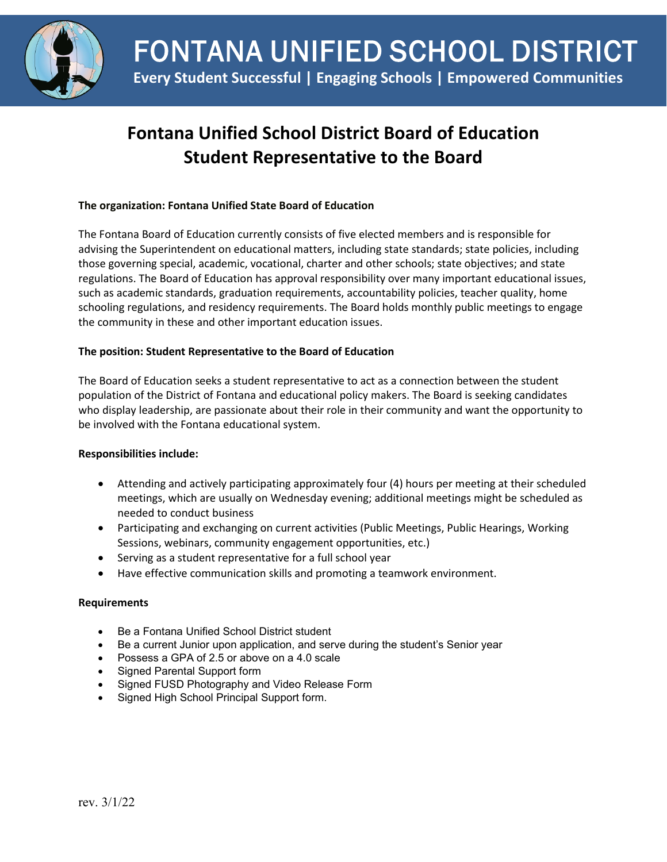

# **Fontana Unified School District Board of Education Student Representative to the Board**

## **The organization: Fontana Unified State Board of Education**

The Fontana Board of Education currently consists of five elected members and is responsible for advising the Superintendent on educational matters, including state standards; state policies, including those governing special, academic, vocational, charter and other schools; state objectives; and state regulations. The Board of Education has approval responsibility over many important educational issues, such as academic standards, graduation requirements, accountability policies, teacher quality, home schooling regulations, and residency requirements. The Board holds monthly public meetings to engage the community in these and other important education issues.

## **The position: Student Representative to the Board of Education**

The Board of Education seeks a student representative to act as a connection between the student population of the District of Fontana and educational policy makers. The Board is seeking candidates who display leadership, are passionate about their role in their community and want the opportunity to be involved with the Fontana educational system.

### **Responsibilities include:**

- Attending and actively participating approximately four (4) hours per meeting at their scheduled meetings, which are usually on Wednesday evening; additional meetings might be scheduled as needed to conduct business
- Participating and exchanging on current activities (Public Meetings, Public Hearings, Working Sessions, webinars, community engagement opportunities, etc.)
- Serving as a student representative for a full school year
- Have effective communication skills and promoting a teamwork environment.

### **Requirements**

- Be a Fontana Unified School District student
- Be a current Junior upon application, and serve during the student's Senior year
- Possess a GPA of 2.5 or above on a 4.0 scale
- Signed Parental Support form
- Signed FUSD Photography and Video Release Form
- Signed High School Principal Support form.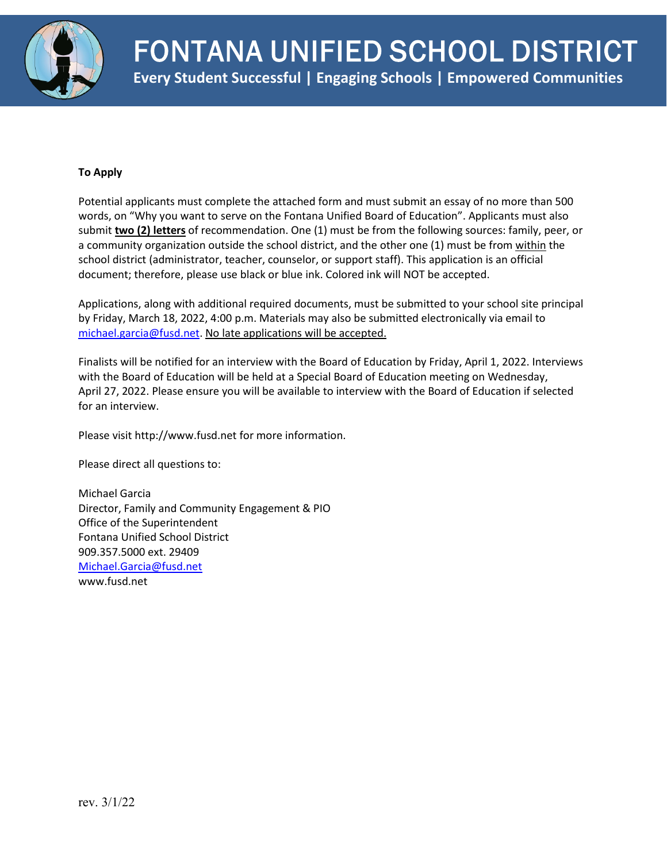

## **To Apply**

Potential applicants must complete the attached form and must submit an essay of no more than 500 words, on "Why you want to serve on the Fontana Unified Board of Education". Applicants must also submit **two (2) letters** of recommendation. One (1) must be from the following sources: family, peer, or a community organization outside the school district, and the other one (1) must be from within the school district (administrator, teacher, counselor, or support staff). This application is an official document; therefore, please use black or blue ink. Colored ink will NOT be accepted.

Applications, along with additional required documents, must be submitted to your school site principal by Friday, March 18, 2022, 4:00 p.m. Materials may also be submitted electronically via email to [michael.garcia@fusd.net.](mailto:michael.garcia@fusd.net) No late applications will be accepted.

Finalists will be notified for an interview with the Board of Education by Friday, April 1, 2022. Interviews with the Board of Education will be held at a Special Board of Education meeting on Wednesday, April 27, 2022. Please ensure you will be available to interview with the Board of Education if selected for an interview.

Please visit http://www.fusd.net for more information.

Please direct all questions to:

Michael Garcia Director, Family and Community Engagement & PIO Office of the Superintendent Fontana Unified School District 909.357.5000 ext. 29409 [Michael.Garcia@fusd.net](mailto:Michael.Garcia@fusd.net) www.fusd.net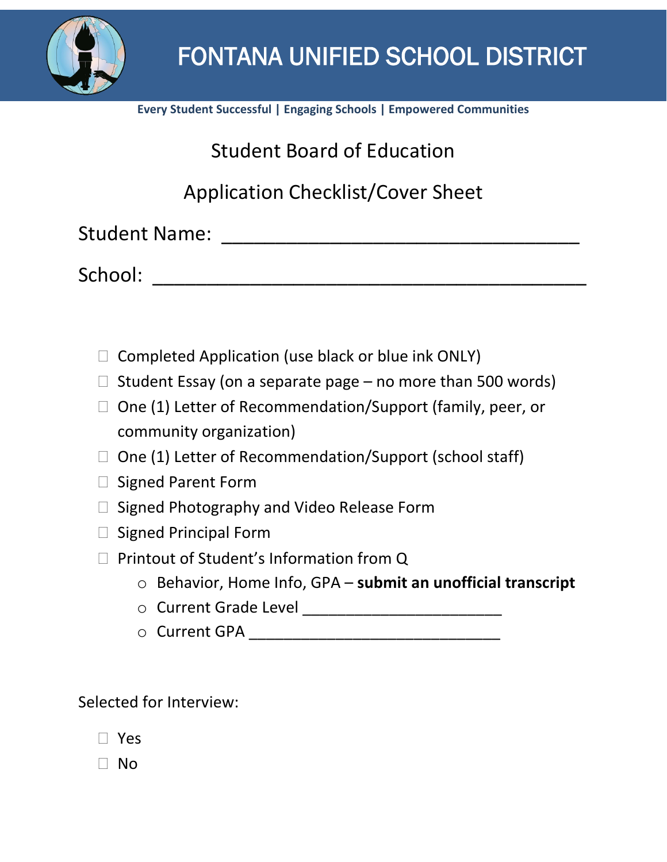

**Every Student Successful | Engaging Schools | Empowered Communities**

Student Board of Education

Application Checklist/Cover Sheet

Student Name: \_\_\_\_\_\_\_\_\_\_\_\_\_\_\_\_\_\_\_\_\_\_\_\_\_\_\_\_\_\_\_\_\_

School: \_\_\_\_\_\_\_\_\_\_\_\_\_\_\_\_\_\_\_\_\_\_\_\_\_\_\_\_\_\_\_\_\_\_\_\_\_\_\_\_

- $\Box$  Completed Application (use black or blue ink ONLY)
- $\Box$  Student Essay (on a separate page no more than 500 words)
- $\Box$  One (1) Letter of Recommendation/Support (family, peer, or community organization)
- $\Box$  One (1) Letter of Recommendation/Support (school staff)
- $\Box$  Signed Parent Form
- $\Box$  Signed Photography and Video Release Form
- $\Box$  Signed Principal Form
- $\Box$  Printout of Student's Information from Q
	- o Behavior, Home Info, GPA **submit an unofficial transcript**
	- o Current Grade Level \_\_\_\_\_\_\_\_\_\_\_\_\_\_\_\_\_\_\_\_\_\_\_
	- o Current GPA \_\_\_\_\_\_\_\_\_\_\_\_\_\_\_\_\_\_\_\_\_\_\_\_\_\_\_\_\_

Selected for Interview:

 $\Box$  No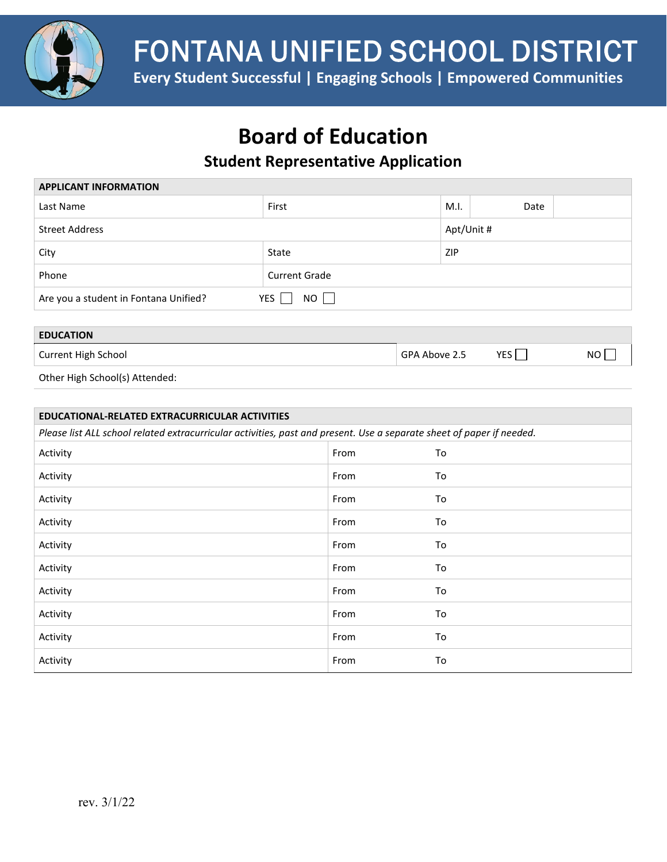

FONTANA UNIFIED SCHOOL DISTRICT

**Every Student Successful | Engaging Schools | Empowered Communities**

# **Board of Education**

## **Student Representative Application**

| <b>APPLICANT INFORMATION</b>                                       |                      |            |      |  |
|--------------------------------------------------------------------|----------------------|------------|------|--|
| Last Name                                                          | First                | M.I.       | Date |  |
| <b>Street Address</b>                                              |                      | Apt/Unit # |      |  |
| City                                                               | State                | ZIP        |      |  |
| Phone                                                              | <b>Current Grade</b> |            |      |  |
| $NO$ $\Box$<br>Are you a student in Fontana Unified?<br><b>YES</b> |                      |            |      |  |

## **EDUCATION** Current High School GPA Above 2.5 YES NO Other High School(s) Attended:

| EDUCATIONAL-RELATED EXTRACURRICULAR ACTIVITIES                                                                        |      |    |
|-----------------------------------------------------------------------------------------------------------------------|------|----|
| Please list ALL school related extracurricular activities, past and present. Use a separate sheet of paper if needed. |      |    |
| Activity                                                                                                              | From | To |
| Activity                                                                                                              | From | To |
| Activity                                                                                                              | From | To |
| Activity                                                                                                              | From | To |
| Activity                                                                                                              | From | To |
| Activity                                                                                                              | From | To |
| Activity                                                                                                              | From | To |
| Activity                                                                                                              | From | To |
| Activity                                                                                                              | From | To |
| Activity                                                                                                              | From | To |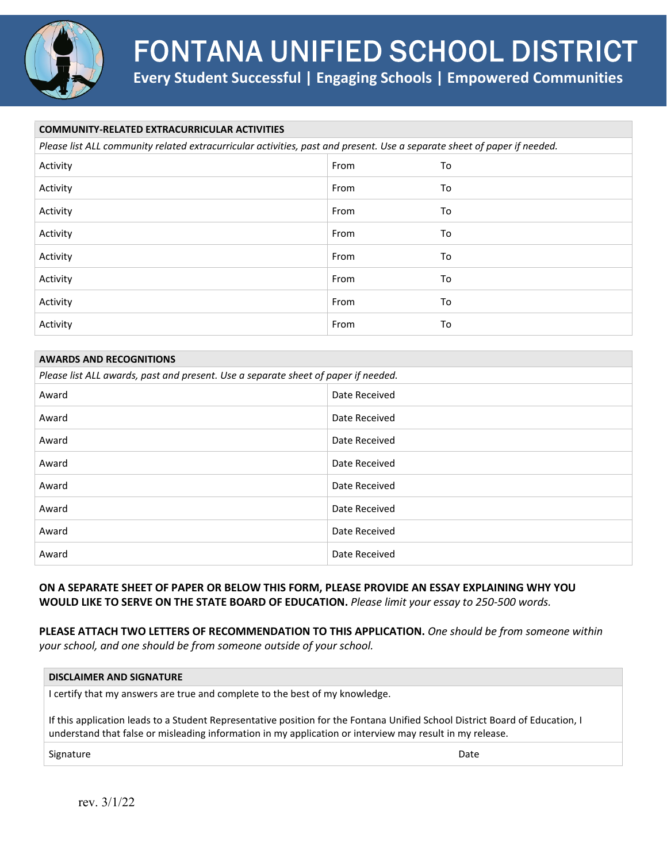

# FONTANA UNIFIED SCHOOL DISTRICT

**Every Student Successful | Engaging Schools | Empowered Communities**

| <b>COMMUNITY-RELATED EXTRACURRICULAR ACTIVITIES</b>                                                                      |      |    |  |
|--------------------------------------------------------------------------------------------------------------------------|------|----|--|
| Please list ALL community related extracurricular activities, past and present. Use a separate sheet of paper if needed. |      |    |  |
| Activity                                                                                                                 | From | To |  |
| Activity                                                                                                                 | From | To |  |
| Activity                                                                                                                 | From | To |  |
| Activity                                                                                                                 | From | To |  |
| Activity                                                                                                                 | From | To |  |
| Activity                                                                                                                 | From | To |  |
| Activity                                                                                                                 | From | To |  |
| Activity                                                                                                                 | From | To |  |

| <b>AWARDS AND RECOGNITIONS</b>                                                     |               |  |
|------------------------------------------------------------------------------------|---------------|--|
| Please list ALL awards, past and present. Use a separate sheet of paper if needed. |               |  |
| Award                                                                              | Date Received |  |
| Award                                                                              | Date Received |  |
| Award                                                                              | Date Received |  |
| Award                                                                              | Date Received |  |
| Award                                                                              | Date Received |  |
| Award                                                                              | Date Received |  |
| Award                                                                              | Date Received |  |
| Award                                                                              | Date Received |  |

## **ON A SEPARATE SHEET OF PAPER OR BELOW THIS FORM, PLEASE PROVIDE AN ESSAY EXPLAINING WHY YOU WOULD LIKE TO SERVE ON THE STATE BOARD OF EDUCATION.** *Please limit your essay to 250-500 words.*

**PLEASE ATTACH TWO LETTERS OF RECOMMENDATION TO THIS APPLICATION.** *One should be from someone within your school, and one should be from someone outside of your school.*

#### **DISCLAIMER AND SIGNATURE**

I certify that my answers are true and complete to the best of my knowledge.

If this application leads to a Student Representative position for the Fontana Unified School District Board of Education, I understand that false or misleading information in my application or interview may result in my release.

Signature Date Date of the Date of the Date of the Date of the Date of the Date of the Date of the Date of the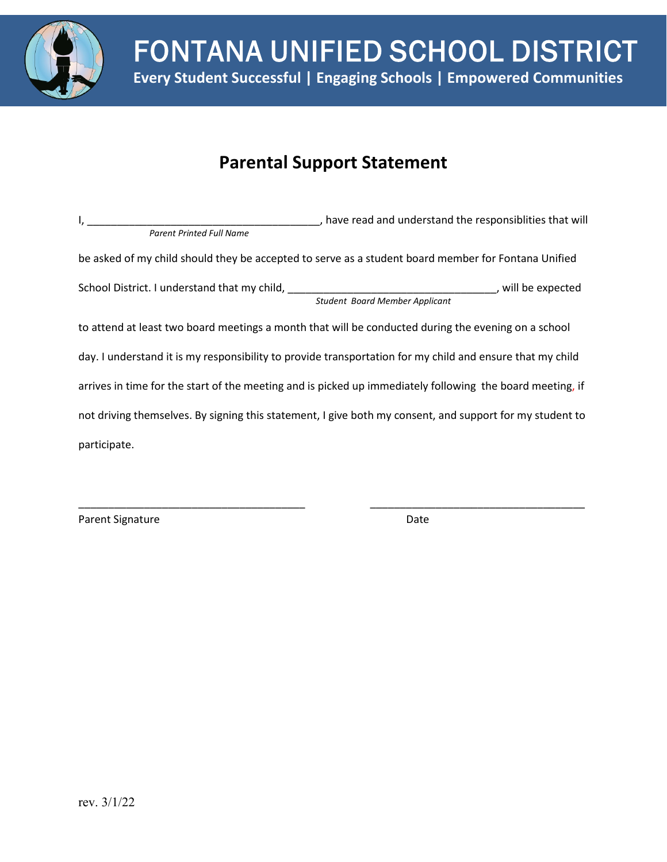

## **Parental Support Statement**

| $\mathsf{I}_{\mathsf{A}}$ . The contract of the contract of the contract of the contract of the contract of the contract of the contract of the contract of the contract of the contract of the contract of the contract of the contract | , have read and understand the responsiblities that will                                                  |
|------------------------------------------------------------------------------------------------------------------------------------------------------------------------------------------------------------------------------------------|-----------------------------------------------------------------------------------------------------------|
| <b>Parent Printed Full Name</b>                                                                                                                                                                                                          |                                                                                                           |
|                                                                                                                                                                                                                                          | be asked of my child should they be accepted to serve as a student board member for Fontana Unified       |
|                                                                                                                                                                                                                                          |                                                                                                           |
|                                                                                                                                                                                                                                          | <b>Student Board Member Applicant</b>                                                                     |
|                                                                                                                                                                                                                                          | to attend at least two board meetings a month that will be conducted during the evening on a school       |
|                                                                                                                                                                                                                                          | day. I understand it is my responsibility to provide transportation for my child and ensure that my child |
|                                                                                                                                                                                                                                          | arrives in time for the start of the meeting and is picked up immediately following the board meeting, if |
|                                                                                                                                                                                                                                          | not driving themselves. By signing this statement, I give both my consent, and support for my student to  |
| participate.                                                                                                                                                                                                                             |                                                                                                           |

\_\_\_\_\_\_\_\_\_\_\_\_\_\_\_\_\_\_\_\_\_\_\_\_\_\_\_\_\_\_\_\_\_\_\_\_\_\_ \_\_\_\_\_\_\_\_\_\_\_\_\_\_\_\_\_\_\_\_\_\_\_\_\_\_\_\_\_\_\_\_\_\_\_\_

Parent Signature Date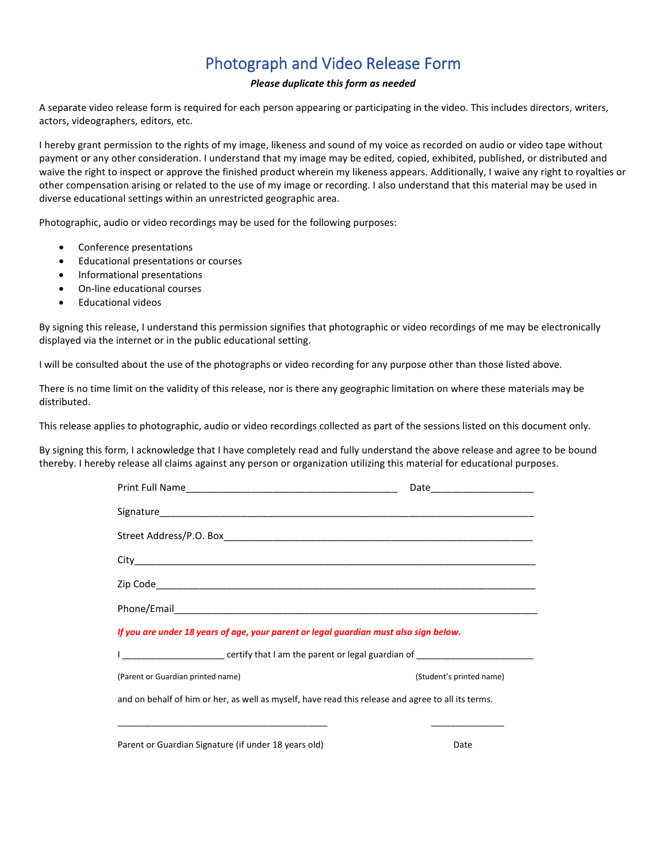## Photograph and Video Release Form

#### *Please duplicate this form as needed*

A separate video release form is required for each person appearing or participating in the video. This includes directors, writers, actors, videographers, editors, etc.

I hereby grant permission to the rights of my image, likeness and sound of my voice as recorded on audio or video tape without payment or any other consideration. I understand that my image may be edited, copied, exhibited, published, or distributed and waive the right to inspect or approve the finished product wherein my likeness appears. Additionally, I waive any right to royalties or other compensation arising or related to the use of my image or recording. I also understand that this material may be used in diverse educational settings within an unrestricted geographic area.

Photographic, audio or video recordings may be used for the following purposes:

- Conference presentations
- Educational presentations or courses
- Informational presentations
- On-line educational courses
- Educational videos

By signing this release, I understand this permission signifies that photographic or video recordings of me may be electronically displayed via the internet or in the public educational setting.

I will be consulted about the use of the photographs or video recording for any purpose other than those listed above.

There is no time limit on the validity of this release, nor is there any geographic limitation on where these materials may be distributed.

This release applies to photographic, audio or video recordings collected as part of the sessions listed on this document only.

By signing this form, I acknowledge that I have completely read and fully understand the above release and agree to be bound thereby. I hereby release all claims against any person or organization utilizing this material for educational purposes.

|                                                                                                                | Date _____________________ |  |  |
|----------------------------------------------------------------------------------------------------------------|----------------------------|--|--|
|                                                                                                                |                            |  |  |
|                                                                                                                |                            |  |  |
|                                                                                                                |                            |  |  |
|                                                                                                                |                            |  |  |
|                                                                                                                |                            |  |  |
| If you are under 18 years of age, your parent or legal guardian must also sign below.                          |                            |  |  |
| I ____________________________ certify that I am the parent or legal guardian of _____________________________ |                            |  |  |
| (Parent or Guardian printed name)                                                                              | (Student's printed name)   |  |  |
| and on behalf of him or her, as well as myself, have read this release and agree to all its terms.             |                            |  |  |
|                                                                                                                |                            |  |  |
| Parent or Guardian Signature (if under 18 years old)                                                           | Date                       |  |  |